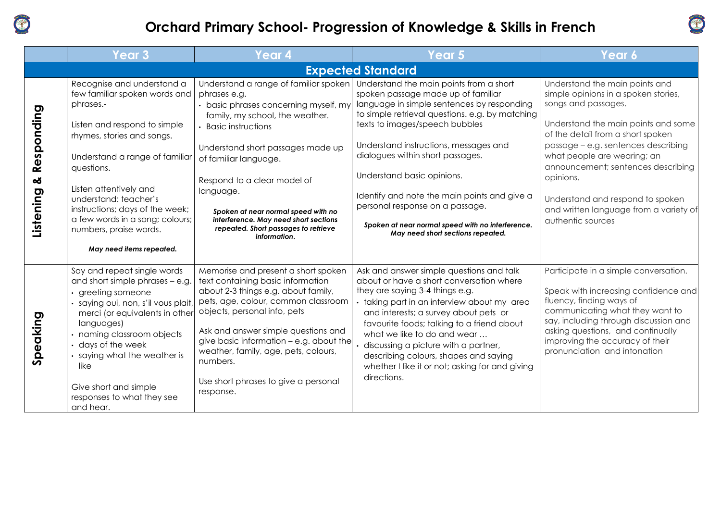

## **Orchard Primary School- Progression of Knowledge & Skills in French**



|                              | <b>Year 3</b>                                                                                                                                                                                                                                                                                                                                                         | Year 4                                                                                                                                                                                                                                                                                                                                                                                                      | Year 5                                                                                                                                                                                                                                                                                                                                                                                                                                                                                                   | Year 6                                                                                                                                                                                                                                                                                                                                                                                                |  |  |  |
|------------------------------|-----------------------------------------------------------------------------------------------------------------------------------------------------------------------------------------------------------------------------------------------------------------------------------------------------------------------------------------------------------------------|-------------------------------------------------------------------------------------------------------------------------------------------------------------------------------------------------------------------------------------------------------------------------------------------------------------------------------------------------------------------------------------------------------------|----------------------------------------------------------------------------------------------------------------------------------------------------------------------------------------------------------------------------------------------------------------------------------------------------------------------------------------------------------------------------------------------------------------------------------------------------------------------------------------------------------|-------------------------------------------------------------------------------------------------------------------------------------------------------------------------------------------------------------------------------------------------------------------------------------------------------------------------------------------------------------------------------------------------------|--|--|--|
| <b>Expected Standard</b>     |                                                                                                                                                                                                                                                                                                                                                                       |                                                                                                                                                                                                                                                                                                                                                                                                             |                                                                                                                                                                                                                                                                                                                                                                                                                                                                                                          |                                                                                                                                                                                                                                                                                                                                                                                                       |  |  |  |
| Responding<br>ಯ<br>Listening | Recognise and understand a<br>few familiar spoken words and<br>phrases.-<br>Listen and respond to simple<br>rhymes, stories and songs.<br>Understand a range of familiar<br>questions.<br>Listen attentively and<br>understand: teacher's<br>instructions; days of the week;<br>a few words in a song; colours;<br>numbers, praise words.<br>May need items repeated. | Understand a range of familiar spoken<br>phrases e.g.<br>• basic phrases concerning myself, my<br>family, my school, the weather.<br>• Basic instructions<br>Understand short passages made up<br>of familiar language.<br>Respond to a clear model of<br>language.<br>Spoken at near normal speed with no<br>interference. May need short sections<br>repeated. Short passages to retrieve<br>information. | Understand the main points from a short<br>spoken passage made up of familiar<br>language in simple sentences by responding<br>to simple retrieval questions. e.g. by matching<br>texts to images/speech bubbles<br>Understand instructions, messages and<br>dialogues within short passages.<br>Understand basic opinions.<br>Identify and note the main points and give a<br>personal response on a passage.<br>Spoken at near normal speed with no interference.<br>May need short sections repeated. | Understand the main points and<br>simple opinions in a spoken stories,<br>songs and passages.<br>Understand the main points and some<br>of the detail from a short spoken<br>passage - e.g. sentences describing<br>what people are wearing; an<br>announcement; sentences describing<br>opinions.<br>Understand and respond to spoken<br>and written language from a variety of<br>authentic sources |  |  |  |
| Speaking                     | Say and repeat single words<br>and short simple phrases - e.g.<br>$\cdot$ greeting someone<br>· saying oui, non, s'il vous plait<br>merci (or equivalents in other<br>languages)<br>• naming classroom objects<br>• days of the week<br>· saying what the weather is<br>like<br>Give short and simple<br>responses to what they see<br>and hear.                      | Memorise and present a short spoken<br>text containing basic information<br>about 2-3 things e.g. about family,<br>pets, age, colour, common classroom<br>objects, personal info, pets<br>Ask and answer simple questions and<br>give basic information - e.g. about the<br>weather, family, age, pets, colours,<br>numbers.<br>Use short phrases to give a personal<br>response.                           | Ask and answer simple questions and talk<br>about or have a short conversation where<br>they are saying 3-4 things e.g.<br>· taking part in an interview about my area<br>and interests; a survey about pets or<br>favourite foods; talking to a friend about<br>what we like to do and wear<br>discussing a picture with a partner,<br>describing colours, shapes and saying<br>whether I like it or not; asking for and giving<br>directions.                                                          | Participate in a simple conversation.<br>Speak with increasing confidence and<br>fluency, finding ways of<br>communicating what they want to<br>say, including through discussion and<br>asking questions, and continually<br>improving the accuracy of their<br>pronunciation and intonation                                                                                                         |  |  |  |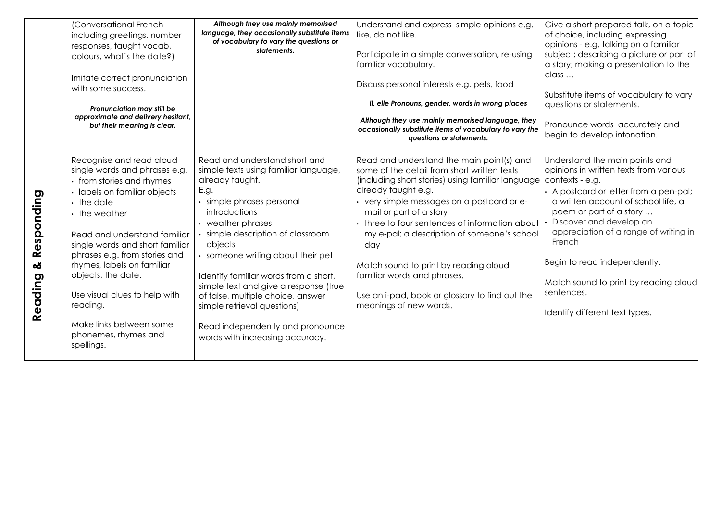|                            | (Conversational French<br>including greetings, number<br>responses, taught vocab,<br>colours, what's the date?)<br>Imitate correct pronunciation<br>with some success.<br>Pronunciation may still be<br>approximate and delivery hesitant,<br>but their meaning is clear.                                                                                                                                                       | Although they use mainly memorised<br>language, they occasionally substitute items<br>of vocabulary to vary the questions or<br>statements.                                                                                                                                                                                                                                                                                                                                          | Understand and express simple opinions e.g.<br>like, do not like.<br>Participate in a simple conversation, re-using<br>familiar vocabulary.<br>Discuss personal interests e.g. pets, food<br>II, elle Pronouns, gender, words in wrong places<br>Although they use mainly memorised language, they<br>occasionally substitute items of vocabulary to vary the<br>questions or statements.                                                                                                                 | Give a short prepared talk, on a topic<br>of choice, including expressing<br>opinions - e.g. talking on a familiar<br>subject; describing a picture or part of<br>a story; making a presentation to the<br>class<br>Substitute items of vocabulary to vary<br>questions or statements.<br>Pronounce words accurately and<br>begin to develop intonation.                                                       |
|----------------------------|---------------------------------------------------------------------------------------------------------------------------------------------------------------------------------------------------------------------------------------------------------------------------------------------------------------------------------------------------------------------------------------------------------------------------------|--------------------------------------------------------------------------------------------------------------------------------------------------------------------------------------------------------------------------------------------------------------------------------------------------------------------------------------------------------------------------------------------------------------------------------------------------------------------------------------|-----------------------------------------------------------------------------------------------------------------------------------------------------------------------------------------------------------------------------------------------------------------------------------------------------------------------------------------------------------------------------------------------------------------------------------------------------------------------------------------------------------|----------------------------------------------------------------------------------------------------------------------------------------------------------------------------------------------------------------------------------------------------------------------------------------------------------------------------------------------------------------------------------------------------------------|
| Responding<br>ఱ<br>Reading | Recognise and read aloud<br>single words and phrases e.g.<br>• from stories and rhymes<br>labels on familiar objects<br>$\cdot$ the date<br>• the weather<br>Read and understand familiar<br>single words and short familiar<br>phrases e.g. from stories and<br>rhymes, labels on familiar<br>objects, the date.<br>Use visual clues to help with<br>reading.<br>Make links between some<br>phonemes, rhymes and<br>spellings. | Read and understand short and<br>simple texts using familiar language,<br>already taught.<br>E.g.<br>· simple phrases personal<br>introductions<br>• weather phrases<br>simple description of classroom<br>objects<br>· someone writing about their pet<br>Identify familiar words from a short,<br>simple text and give a response (true<br>of false, multiple choice, answer<br>simple retrieval questions)<br>Read independently and pronounce<br>words with increasing accuracy. | Read and understand the main point(s) and<br>some of the detail from short written texts<br>(including short stories) using familiar language<br>already taught e.g.<br>• very simple messages on a postcard or e-<br>mail or part of a story<br>• three to four sentences of information about<br>my e-pal; a description of someone's school<br>day<br>Match sound to print by reading aloud<br>familiar words and phrases.<br>Use an i-pad, book or glossary to find out the<br>meanings of new words. | Understand the main points and<br>opinions in written texts from various<br>contexts - e.g.<br>• A postcard or letter from a pen-pal;<br>a written account of school life, a<br>poem or part of a story<br>Discover and develop an<br>appreciation of a range of writing in<br>French<br>Begin to read independently.<br>Match sound to print by reading aloud<br>sentences.<br>Identify different text types. |